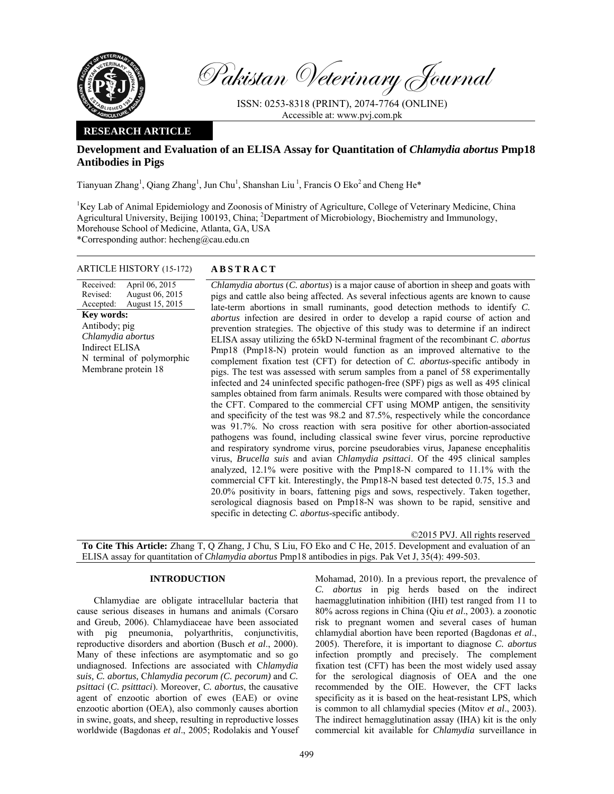

Pakistan Veterinary Journal

ISSN: 0253-8318 (PRINT), 2074-7764 (ONLINE) Accessible at: www.pvj.com.pk

# **RESEARCH ARTICLE**

# **Development and Evaluation of an ELISA Assay for Quantitation of** *Chlamydia abortus* **Pmp18 Antibodies in Pigs**

Tianyuan Zhang<sup>1</sup>, Qiang Zhang<sup>1</sup>, Jun Chu<sup>1</sup>, Shanshan Liu<sup>1</sup>, Francis O Eko<sup>2</sup> and Cheng He<sup>\*</sup>

<sup>1</sup>Key Lab of Animal Epidemiology and Zoonosis of Ministry of Agriculture, College of Veterinary Medicine, China Agricultural University, Beijing 100193, China; <sup>2</sup>Department of Microbiology, Biochemistry and Immunology, Morehouse School of Medicine, Atlanta, GA, USA \*Corresponding author: hecheng@cau.edu.cn

### ARTICLE HISTORY (15-172) **ABSTRACT**

Received: Revised: Accepted: April 06, 2015 August 06, 2015 August 15, 2015 **Key words:**  Antibody; pig *Chlamydia abortus*  Indirect ELISA N terminal of polymorphic Membrane protein 18

*Chlamydia abortus* (*C. abortus*) is a major cause of abortion in sheep and goats with pigs and cattle also being affected. As several infectious agents are known to cause late-term abortions in small ruminants, good detection methods to identify *C. abortus* infection are desired in order to develop a rapid course of action and prevention strategies. The objective of this study was to determine if an indirect ELISA assay utilizing the 65kD N-terminal fragment of the recombinant *C*. *abortus* Pmp18 (Pmp18-N) protein would function as an improved alternative to the complement fixation test (CFT) for detection of *C. abortus*-specific antibody in pigs. The test was assessed with serum samples from a panel of 58 experimentally infected and 24 uninfected specific pathogen-free (SPF) pigs as well as 495 clinical samples obtained from farm animals. Results were compared with those obtained by the CFT. Compared to the commercial CFT using MOMP antigen, the sensitivity and specificity of the test was 98.2 and 87.5%, respectively while the concordance was 91.7%. No cross reaction with sera positive for other abortion-associated pathogens was found, including classical swine fever virus, porcine reproductive and respiratory syndrome virus, porcine pseudorabies virus, Japanese encephalitis virus, *Brucella suis* and avian *Chlamydia psittaci*. Of the 495 clinical samples analyzed, 12.1% were positive with the Pmp18-N compared to 11.1% with the commercial CFT kit. Interestingly, the Pmp18-N based test detected 0.75, 15.3 and 20.0% positivity in boars, fattening pigs and sows, respectively. Taken together, serological diagnosis based on Pmp18-N was shown to be rapid, sensitive and specific in detecting *C. abortus*-specific antibody.

©2015 PVJ. All rights reserved **To Cite This Article:** Zhang T, Q Zhang, J Chu, S Liu, FO Eko and C He, 2015. Development and evaluation of an ELISA assay for quantitation of *Chlamydia abortus* Pmp18 antibodies in pigs. Pak Vet J, 35(4): 499-503.

# **INTRODUCTION**

Chlamydiae are obligate intracellular bacteria that cause serious diseases in humans and animals (Corsaro and Greub, 2006). Chlamydiaceae have been associated with pig pneumonia, polyarthritis, conjunctivitis, reproductive disorders and abortion (Busch *et al*., 2000). Many of these infections are asymptomatic and so go undiagnosed. Infections are associated with C*hlamydia suis, C. abortus,* C*hlamydia pecorum (C. pecorum)* and *C. psittaci* (*C. psitttaci*). Moreover, *C. abortus*, the causative agent of enzootic abortion of ewes (EAE) or ovine enzootic abortion (OEA), also commonly causes abortion in swine, goats, and sheep, resulting in reproductive losses worldwide (Bagdonas *et al*., 2005; Rodolakis and Yousef Mohamad, 2010). In a previous report, the prevalence of *C. abortus* in pig herds based on the indirect haemagglutination inhibition (IHI) test ranged from 11 to 80% across regions in China (Qiu *et al*., 2003). a zoonotic risk to pregnant women and several cases of human chlamydial abortion have been reported (Bagdonas *et al*., 2005). Therefore, it is important to diagnose *C. abortus* infection promptly and precisely. The complement fixation test (CFT) has been the most widely used assay for the serological diagnosis of OEA and the one recommended by the OIE. However, the CFT lacks specificity as it is based on the heat-resistant LPS, which is common to all chlamydial species (Mitov *et al*., 2003). The indirect hemagglutination assay (IHA) kit is the only commercial kit available for *Chlamydia* surveillance in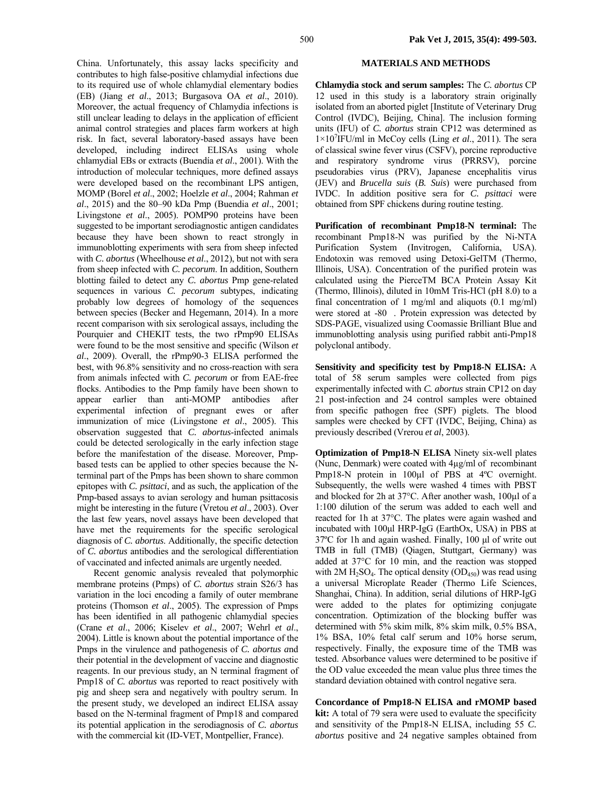China. Unfortunately, this assay lacks specificity and contributes to high false-positive chlamydial infections due to its required use of whole chlamydial elementary bodies (EB) (Jiang *et al*., 2013; Burgasova OA *et al*., 2010). Moreover, the actual frequency of Chlamydia infections is still unclear leading to delays in the application of efficient animal control strategies and places farm workers at high risk. In fact, several laboratory-based assays have been developed, including indirect ELISAs using whole chlamydial EBs or extracts (Buendía *et al*., 2001). With the introduction of molecular techniques, more defined assays were developed based on the recombinant LPS antigen, MOMP (Borel *et al*., 2002; Hoelzle *et al*., 2004; Rahman *et al*., 2015) and the 80–90 kDa Pmp (Buendia *et al*., 2001; Livingstone *et al*., 2005). POMP90 proteins have been suggested to be important serodiagnostic antigen candidates because they have been shown to react strongly in immunoblotting experiments with sera from sheep infected with *C. abortus* (Wheelhouse *et al*., 2012), but not with sera from sheep infected with *C. pecorum*. In addition, Southern blotting failed to detect any *C. abortus* Pmp gene-related sequences in various *C. pecorum* subtypes, indicating probably low degrees of homology of the sequences between species (Becker and Hegemann, 2014). In a more recent comparison with six serological assays, including the Pourquier and CHEKIT tests, the two rPmp90 ELISAs were found to be the most sensitive and specific (Wilson *et al*., 2009). Overall, the rPmp90-3 ELISA performed the best, with 96.8% sensitivity and no cross-reaction with sera from animals infected with *C. pecorum* or from EAE-free flocks. Antibodies to the Pmp family have been shown to appear earlier than anti-MOMP antibodies after experimental infection of pregnant ewes or after immunization of mice (Livingstone *et al*., 2005). This observation suggested that *C. abortus*-infected animals could be detected serologically in the early infection stage before the manifestation of the disease. Moreover, Pmpbased tests can be applied to other species because the Nterminal part of the Pmps has been shown to share common epitopes with *C. psittaci*, and as such, the application of the Pmp-based assays to avian serology and human psittacosis might be interesting in the future (Vretou *et al*., 2003). Over the last few years, novel assays have been developed that have met the requirements for the specific serological diagnosis of *C. abortus*. Additionally, the specific detection of *C. abortus* antibodies and the serological differentiation of vaccinated and infected animals are urgently needed.

Recent genomic analysis revealed that polymorphic membrane proteins (Pmps) of *C. abortus* strain S26/3 has variation in the loci encoding a family of outer membrane proteins (Thomson *et al*., 2005). The expression of Pmps has been identified in all pathogenic chlamydial species (Crane *et al*., 2006; Kiselev *et al*., 2007; Wehrl *et al*., 2004). Little is known about the potential importance of the Pmps in the virulence and pathogenesis of *C. abortus a*nd their potential in the development of vaccine and diagnostic reagents. In our previous study, an N terminal fragment of Pmp18 of *C. abortus* was reported to react positively with pig and sheep sera and negatively with poultry serum. In the present study, we developed an indirect ELISA assay based on the N-terminal fragment of Pmp18 and compared its potential application in the serodiagnosis of *C. abortus*  with the commercial kit (ID-VET, Montpellier, France).

### **MATERIALS AND METHODS**

**Chlamydia stock and serum samples:** The *C. abortus* CP 12 used in this study is a laboratory strain originally isolated from an aborted piglet [Institute of Veterinary Drug Control (IVDC), Beijing, China]. The inclusion forming units (IFU) of *C. abortus* strain CP12 was determined as 1×107 IFU/ml in McCoy cells (Ling *et al*., 2011). The sera of classical swine fever virus (CSFV), porcine reproductive and respiratory syndrome virus (PRRSV), porcine pseudorabies virus (PRV), Japanese encephalitis virus (JEV) and *Brucella suis* (*B. Suis*) were purchased from IVDC. In addition positive sera for *C. psittaci* were obtained from SPF chickens during routine testing.

**Purification of recombinant Pmp18-N terminal:** The recombinant Pmp18-N was purified by the Ni-NTA Purification System (Invitrogen, California, USA). Endotoxin was removed using Detoxi-GelTM (Thermo, Illinois, USA). Concentration of the purified protein was calculated using the PierceTM BCA Protein Assay Kit (Thermo, Illinois), diluted in 10mM Tris-HCl (pH 8.0) to a final concentration of 1 mg/ml and aliquots (0.1 mg/ml) were stored at -80 . Protein expression was detected by SDS-PAGE, visualized using Coomassie Brilliant Blue and immunoblotting analysis using purified rabbit anti-Pmp18 polyclonal antibody.

**Sensitivity and specificity test by Pmp18-N ELISA:** A total of 58 serum samples were collected from pigs experimentally infected with *C. abortus* strain CP12 on day 21 post-infection and 24 control samples were obtained from specific pathogen free (SPF) piglets. The blood samples were checked by CFT (IVDC, Beijing, China) as previously described (Vrerou *et al*, 2003).

**Optimization of Pmp18-N ELISA** Ninety six-well plates (Nunc, Denmark) were coated with 4µg/ml of recombinant Pmp18-N protein in 100µl of PBS at 4°C overnight. Subsequently, the wells were washed 4 times with PBST and blocked for 2h at 37°C. After another wash, 100µl of a 1:100 dilution of the serum was added to each well and reacted for 1h at 37°C. The plates were again washed and incubated with 100µl HRP-IgG (EarthOx, USA) in PBS at 37ºC for 1h and again washed. Finally, 100 µl of write out TMB in full (TMB) (Qiagen, Stuttgart, Germany) was added at 37°C for 10 min, and the reaction was stopped with  $2M H_2SO_4$ . The optical density (OD<sub>450</sub>) was read using a universal Microplate Reader (Thermo Life Sciences, Shanghai, China). In addition, serial dilutions of HRP-IgG were added to the plates for optimizing conjugate concentration. Optimization of the blocking buffer was determined with 5% skim milk, 8% skim milk, 0.5% BSA, 1% BSA, 10% fetal calf serum and 10% horse serum, respectively. Finally, the exposure time of the TMB was tested. Absorbance values were determined to be positive if the OD value exceeded the mean value plus three times the standard deviation obtained with control negative sera.

**Concordance of Pmp18-N ELISA and rMOMP based kit:** A total of 79 sera were used to evaluate the specificity and sensitivity of the Pmp18-N ELISA, including 55 *C. abortus* positive and 24 negative samples obtained from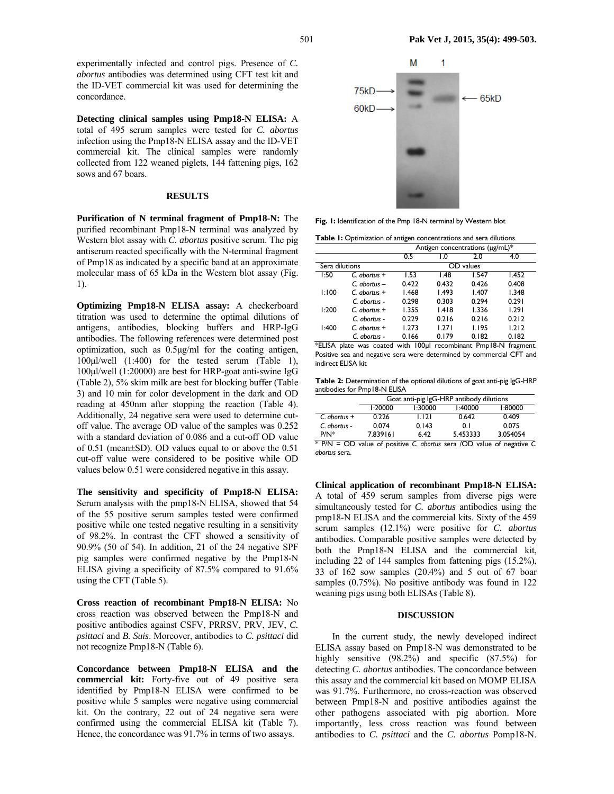**Detecting clinical samples using Pmp18-N ELISA:** A total of 495 serum samples were tested for *C. abortus* infection using the Pmp18-N ELISA assay and the ID-VET commercial kit. The clinical samples were randomly collected from 122 weaned piglets, 144 fattening pigs, 162

*abortus* antibodies was determined using CFT test kit and the ID-VET commercial kit was used for determining the

concordance.

sows and 67 boars.

#### **RESULTS**

**Purification of N terminal fragment of Pmp18-N:** The purified recombinant Pmp18-N terminal was analyzed by Western blot assay with *C. abortus* positive serum. The pig antiserum reacted specifically with the N-terminal fragment of Pmp18 as indicated by a specific band at an approximate molecular mass of 65 kDa in the Western blot assay (Fig. 1).

**Optimizing Pmp18-N ELISA assay:** A checkerboard titration was used to determine the optimal dilutions of antigens, antibodies, blocking buffers and HRP-IgG antibodies. The following references were determined post optimization, such as 0.5µg/ml for the coating antigen, 100µl/well (1:400) for the tested serum (Table 1), 100µl/well (1:20000) are best for HRP-goat anti-swine IgG (Table 2), 5% skim milk are best for blocking buffer (Table 3) and 10 min for color development in the dark and OD reading at 450nm after stopping the reaction (Table 4). Additionally, 24 negative sera were used to determine cutoff value. The average OD value of the samples was 0.252 with a standard deviation of 0.086 and a cut-off OD value of 0.51 (mean±SD). OD values equal to or above the 0.51 cut-off value were considered to be positive while OD values below 0.51 were considered negative in this assay.

**The sensitivity and specificity of Pmp18-N ELISA:**  Serum analysis with the pmp18-N ELISA, showed that 54 of the 55 positive serum samples tested were confirmed positive while one tested negative resulting in a sensitivity of 98.2%. In contrast the CFT showed a sensitivity of 90.9% (50 of 54). In addition, 21 of the 24 negative SPF pig samples were confirmed negative by the Pmp18-N ELISA giving a specificity of 87.5% compared to 91.6% using the CFT (Table 5).

**Cross reaction of recombinant Pmp18-N ELISA:** No cross reaction was observed between the Pmp18-N and positive antibodies against CSFV, PRRSV, PRV, JEV, *C. psittaci* and *B. Suis*. Moreover, antibodies to *C. psittaci* did not recognize Pmp18-N (Table 6).

**Concordance between Pmp18-N ELISA and the commercial kit:** Forty-five out of 49 positive sera identified by Pmp18-N ELISA were confirmed to be positive while 5 samples were negative using commercial kit. On the contrary, 22 out of 24 negative sera were confirmed using the commercial ELISA kit (Table 7). Hence, the concordance was 91.7% in terms of two assays.



**Fig. 1:** Identification of the Pmp 18-N terminal by Western blot

**Table 1:** Optimization of antigen concentrations and sera dilutions

|                |                 | Antigen concentrations (µg/mL)* |       |           |       |  |
|----------------|-----------------|---------------------------------|-------|-----------|-------|--|
|                |                 | 0.5                             | 0. ا  | 2.0       | 4.0   |  |
| Sera dilutions |                 |                                 |       | OD values |       |  |
| 1:50           | $C.$ abortus +  | 1.53                            | 1.48  | 1.547     | 1.452 |  |
|                | $C$ abortus $-$ | 0.422                           | 0.432 | 0.426     | 0.408 |  |
| 1:100          | $C$ abortus $+$ | 1.468                           | 1.493 | 1.407     | 1.348 |  |
|                | $C$ abortus -   | 0.298                           | 0.303 | 0.294     | 0.291 |  |
| 1:200          | $C$ abortus $+$ | 1.355                           | 1.418 | 1.336     | 1.291 |  |
|                | $C$ abortus -   | 0.229                           | 0.216 | 0.216     | 0.212 |  |
| 1:400          | $C$ abortus $+$ | 1.273                           | 1.271 | 1.195     | 1.212 |  |
|                | C. abortus -    | 0.166                           | 0.179 | 0.182     | 0.182 |  |

<sup>\*</sup>ELISA plate was coated with 100µl recombinant Pmp18-N fragment. Positive sea and negative sera were determined by commercial CFT and indirect ELISA kit

**Table 2:** Determination of the optional dilutions of goat anti-pig IgG-HRP antibodies for Pmp18-N ELISA

|                 | Goat anti-pig IgG-HRP antibody dilutions |       |          |          |  |  |  |  |
|-----------------|------------------------------------------|-------|----------|----------|--|--|--|--|
|                 | 1:20000<br>1:40000<br>1:80000<br>1:30000 |       |          |          |  |  |  |  |
| $C$ . abortus + | 0.226                                    | 1.121 | 0.642    | 0.409    |  |  |  |  |
| C. abortus -    | 0.074                                    | 0.143 | 0.1      | 0.075    |  |  |  |  |
| $P/N^*$         | 7.839161                                 | 6.42  | 5.453333 | 3.054054 |  |  |  |  |

\* P/N = OD value of positive *C. abortus* sera /OD value of negative *C. abortus* sera.

**Clinical application of recombinant Pmp18-N ELISA:**  A total of 459 serum samples from diverse pigs were simultaneously tested for *C. abortus* antibodies using the pmp18-N ELISA and the commercial kits. Sixty of the 459 serum samples (12.1%) were positive for *C. abortus* antibodies. Comparable positive samples were detected by both the Pmp18-N ELISA and the commercial kit, including 22 of 144 samples from fattening pigs (15.2%), 33 of 162 sow samples (20.4%) and 5 out of 67 boar samples (0.75%). No positive antibody was found in 122 weaning pigs using both ELISAs (Table 8).

#### **DISCUSSION**

In the current study, the newly developed indirect ELISA assay based on Pmp18-N was demonstrated to be highly sensitive (98.2%) and specific (87.5%) for detecting *C. abortus* antibodies. The concordance between this assay and the commercial kit based on MOMP ELISA was 91.7%. Furthermore, no cross-reaction was observed between Pmp18-N and positive antibodies against the other pathogens associated with pig abortion. More importantly, less cross reaction was found between antibodies to *C. psittaci* and the *C. abortus* Pomp18-N.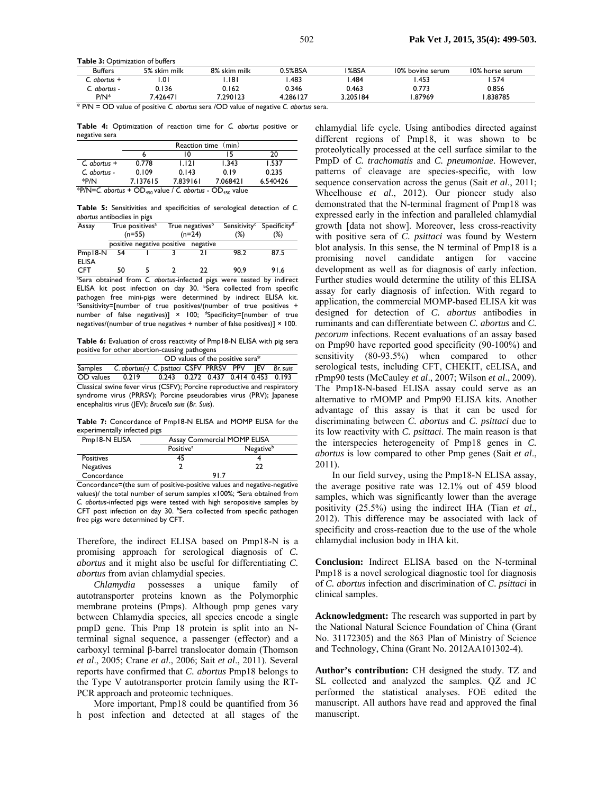Table 3: Optimization of buffers

| <b>Buffers</b> | 5% skim milk | 8% skim milk | .5%BSA  | I%BSA  | 10% bovine serum | 10% horse serum |  |
|----------------|--------------|--------------|---------|--------|------------------|-----------------|--|
| abortus +      | .01          | . 18         | .483    | .484   | .45:             | .574            |  |
| . abortus -    | 0.136        | 0.162        | 0.346   | 0.463  | 0.773            | 0.856           |  |
| $P/N^*$        | .42647       | 1.290123     | .286127 | 205184 | .87969           | .838785         |  |
| $  -$<br>$ -$  |              | .            | $-$     |        |                  |                 |  |

\* P/N = OD value of positive *C. abortus* sera /OD value of negative *C. abortus* sera.

**Table 4:** Optimization of reaction time for *C. abortus* positive or negative sera

|                                                                                  | Reaction time (min) |          |          |          |  |  |
|----------------------------------------------------------------------------------|---------------------|----------|----------|----------|--|--|
|                                                                                  |                     | ı٥       |          | 20       |  |  |
| $C.$ abortus +                                                                   | 0.778               | 1.121    | 1.343    | 1.537    |  |  |
| C. abortus -                                                                     | 0.109               | 0.143    | 0.19     | 0.235    |  |  |
| *P/N                                                                             | 7.137615            | 7.839161 | 7.068421 | 6.540426 |  |  |
| *P/N=C. abortus + OD <sub>450</sub> value / C. abortus - OD <sub>450</sub> value |                     |          |          |          |  |  |

**Table 5:** Sensitivities and specificities of serological detection of *C. abortus* antibodies in pigs

| Assay               |    | True positives <sup>a</sup> | True negatives <sup>p</sup>         |      | Sensitivity <sup>c</sup> Specificity <sup>d</sup> |  |
|---------------------|----|-----------------------------|-------------------------------------|------|---------------------------------------------------|--|
|                     |    | $(n=55)$                    | $(n=24)$                            | (%)  | (%)                                               |  |
|                     |    |                             | positive negative positive negative |      |                                                   |  |
| Pmp18-N             | 54 |                             |                                     | 98.2 | 87.5                                              |  |
| <b>ELISA</b><br>CFT |    |                             | רר                                  | 90.9 | 91.6                                              |  |

a Sera obtained from *C. abortus*-infected pigs were tested by indirect ELISA kit post infection on day 30. bSera collected from specific pathogen free mini-pigs were determined by indirect ELISA kit. c Sensitivity=[number of true positives/(number of true positives + number of false negatives)]  $\times$  100; dspecificity=[number of true negatives/(number of true negatives + number of false positives)]  $\times$  100.

Table 6: Evaluation of cross reactivity of Pmp18-N ELISA with pig sera positive for other abortion-causing pathogens

|                                                                          | OD values of the positive sera*              |                                     |  |  |  |  |          |  |
|--------------------------------------------------------------------------|----------------------------------------------|-------------------------------------|--|--|--|--|----------|--|
| Samples                                                                  | C. abortus(-) C. psittaci CSFV PRRSV PPV JEV |                                     |  |  |  |  | Br. suis |  |
| OD values 0.219                                                          |                                              | 0.243 0.272 0.437 0.414 0.453 0.193 |  |  |  |  |          |  |
| Classical swine fever virus (CSFV); Porcine reproductive and respiratory |                                              |                                     |  |  |  |  |          |  |
| syndrome virus (PRRSV); Porcine pseudorabies virus (PRV); Japanese       |                                              |                                     |  |  |  |  |          |  |
| encephalitis virus (JEV); Brucella suis (Br. Suis).                      |                                              |                                     |  |  |  |  |          |  |

**Table 7:** Concordance of Pmp18-N ELISA and MOMP ELISA for the experimentally infected pigs

| Pmp18-N ELISA    | Assay Commercial MOMP ELISA |                       |  |  |  |
|------------------|-----------------------------|-----------------------|--|--|--|
|                  | Positive <sup>a</sup>       | Negative <sup>b</sup> |  |  |  |
| <b>Positives</b> | 45                          |                       |  |  |  |
| Negatives        |                             | 22                    |  |  |  |
| Concordance      | 91.7                        |                       |  |  |  |

Concordance=(the sum of positive-positive values and negative-negative values)/ the total number of serum samples x100%; <sup>a</sup>Sera obtained from *C. abortus*-infected pigs were tested with high seropositive samples by CFT post infection on day 30. **bSera collected from specific pathogen** free pigs were determined by CFT.

Therefore, the indirect ELISA based on Pmp18-N is a promising approach for serological diagnosis of *C. abortus* and it might also be useful for differentiating *C. abortus* from avian chlamydial species.

*Chlamydia* possesses a unique family of autotransporter proteins known as the Polymorphic membrane proteins (Pmps). Although pmp genes vary between Chlamydia species, all species encode a single pmpD gene. This Pmp 18 protein is split into an Nterminal signal sequence, a passenger (effector) and a carboxyl terminal β-barrel translocator domain (Thomson *et al*., 2005; Crane *et al*., 2006; Sait *et al*., 2011). Several reports have confirmed that *C. abortus* Pmp18 belongs to the Type V autotransporter protein family using the RT-PCR approach and proteomic techniques.

More important, Pmp18 could be quantified from 36 h post infection and detected at all stages of the

chlamydial life cycle. Using antibodies directed against different regions of Pmp18, it was shown to be proteolytically processed at the cell surface similar to the PmpD of *C. trachomatis* and *C. pneumoniae*. However, patterns of cleavage are species-specific, with low sequence conservation across the genus (Sait *et al*., 2011; Wheelhouse *et al*., 2012). Our pioneer study also demonstrated that the N-terminal fragment of Pmp18 was expressed early in the infection and paralleled chlamydial growth [data not show]. Moreover, less cross-reactivity with positive sera of *C. psittaci* was found by Western blot analysis. In this sense, the N terminal of Pmp18 is a promising novel candidate antigen for vaccine development as well as for diagnosis of early infection. Further studies would determine the utility of this ELISA assay for early diagnosis of infection. With regard to application, the commercial MOMP-based ELISA kit was designed for detection of *C. abortus* antibodies in ruminants and can differentiate between *C. abortus* and *C. pecorum* infections. Recent evaluations of an assay based on Pmp90 have reported good specificity (90-100%) and sensitivity (80-93.5%) when compared to other serological tests, including CFT, CHEKIT, cELISA, and rPmp90 tests (McCauley *et al*., 2007; Wilson *et al*., 2009). The Pmp18-N-based ELISA assay could serve as an alternative to rMOMP and Pmp90 ELISA kits. Another advantage of this assay is that it can be used for discriminating between *C. abortus* and *C. psittaci* due to its low reactivity with *C. psittaci*. The main reason is that the interspecies heterogeneity of Pmp18 genes in *C. abortus* is low compared to other Pmp genes (Sait *et al*., 2011).

In our field survey, using the Pmp18-N ELISA assay, the average positive rate was 12.1% out of 459 blood samples, which was significantly lower than the average positivity (25.5%) using the indirect IHA (Tian *et al*., 2012). This difference may be associated with lack of specificity and cross-reaction due to the use of the whole chlamydial inclusion body in IHA kit.

**Conclusion:** Indirect ELISA based on the N-terminal Pmp18 is a novel serological diagnostic tool for diagnosis of *C. abortus* infection and discrimination of *C. psittaci* in clinical samples.

**Acknowledgment:** The research was supported in part by the National Natural Science Foundation of China (Grant No. 31172305) and the 863 Plan of Ministry of Science and Technology, China (Grant No. 2012AA101302-4).

**Author's contribution:** CH designed the study. TZ and SL collected and analyzed the samples. QZ and JC performed the statistical analyses. FOE edited the manuscript. All authors have read and approved the final manuscript.